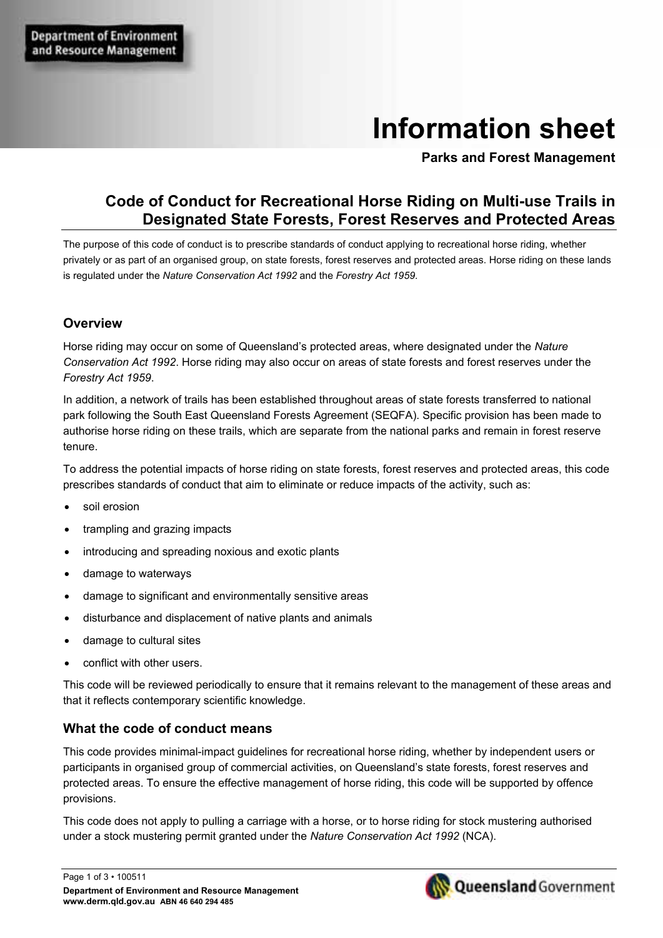# **Information sheet**

**Parks and Forest Management** 

# **Code of Conduct for Recreational Horse Riding on Multi-use Trails in Designated State Forests, Forest Reserves and Protected Areas**

The purpose of this code of conduct is to prescribe standards of conduct applying to recreational horse riding, whether privately or as part of an organised group, on state forests, forest reserves and protected areas. Horse riding on these lands is regulated under the *Nature Conservation Act 1992* and the *Forestry Act 1959*.

## **Overview**

Horse riding may occur on some of Queensland's protected areas, where designated under the *Nature Conservation Act 1992*. Horse riding may also occur on areas of state forests and forest reserves under the *Forestry Act 1959*.

In addition, a network of trails has been established throughout areas of state forests transferred to national park following the South East Queensland Forests Agreement (SEQFA). Specific provision has been made to authorise horse riding on these trails, which are separate from the national parks and remain in forest reserve tenure.

To address the potential impacts of horse riding on state forests, forest reserves and protected areas, this code prescribes standards of conduct that aim to eliminate or reduce impacts of the activity, such as:

- soil erosion
- trampling and grazing impacts
- introducing and spreading noxious and exotic plants
- damage to waterways
- damage to significant and environmentally sensitive areas
- disturbance and displacement of native plants and animals
- damage to cultural sites
- conflict with other users.

This code will be reviewed periodically to ensure that it remains relevant to the management of these areas and that it reflects contemporary scientific knowledge.

## **What the code of conduct means**

This code provides minimal-impact guidelines for recreational horse riding, whether by independent users or participants in organised group of commercial activities, on Queensland's state forests, forest reserves and protected areas. To ensure the effective management of horse riding, this code will be supported by offence provisions.

This code does not apply to pulling a carriage with a horse, or to horse riding for stock mustering authorised under a stock mustering permit granted under the *Nature Conservation Act 1992* (NCA).

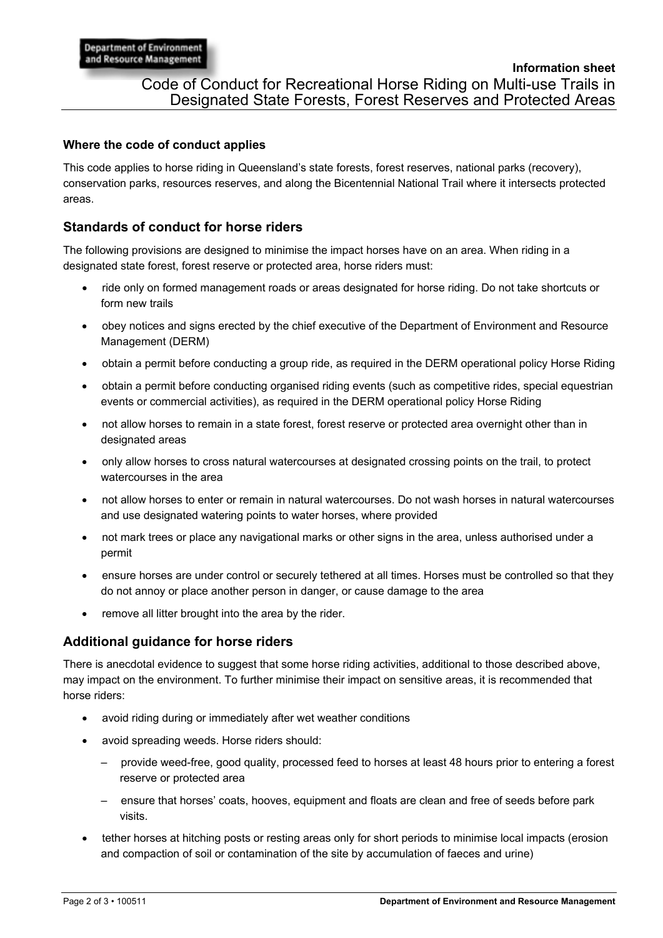# **Where the code of conduct applies**

This code applies to horse riding in Queensland's state forests, forest reserves, national parks (recovery), conservation parks, resources reserves, and along the Bicentennial National Trail where it intersects protected areas.

# **Standards of conduct for horse riders**

The following provisions are designed to minimise the impact horses have on an area. When riding in a designated state forest, forest reserve or protected area, horse riders must:

- ride only on formed management roads or areas designated for horse riding. Do not take shortcuts or form new trails
- obey notices and signs erected by the chief executive of the Department of Environment and Resource Management (DERM)
- obtain a permit before conducting a group ride, as required in the DERM operational policy Horse Riding
- obtain a permit before conducting organised riding events (such as competitive rides, special equestrian events or commercial activities), as required in the DERM operational policy Horse Riding
- not allow horses to remain in a state forest, forest reserve or protected area overnight other than in designated areas
- only allow horses to cross natural watercourses at designated crossing points on the trail, to protect watercourses in the area
- not allow horses to enter or remain in natural watercourses. Do not wash horses in natural watercourses and use designated watering points to water horses, where provided
- not mark trees or place any navigational marks or other signs in the area, unless authorised under a permit
- ensure horses are under control or securely tethered at all times. Horses must be controlled so that they do not annoy or place another person in danger, or cause damage to the area
- remove all litter brought into the area by the rider.

# **Additional guidance for horse riders**

There is anecdotal evidence to suggest that some horse riding activities, additional to those described above, may impact on the environment. To further minimise their impact on sensitive areas, it is recommended that horse riders:

- avoid riding during or immediately after wet weather conditions
- avoid spreading weeds. Horse riders should:
	- provide weed-free, good quality, processed feed to horses at least 48 hours prior to entering a forest reserve or protected area
	- ensure that horses' coats, hooves, equipment and floats are clean and free of seeds before park visits.
- tether horses at hitching posts or resting areas only for short periods to minimise local impacts (erosion and compaction of soil or contamination of the site by accumulation of faeces and urine)